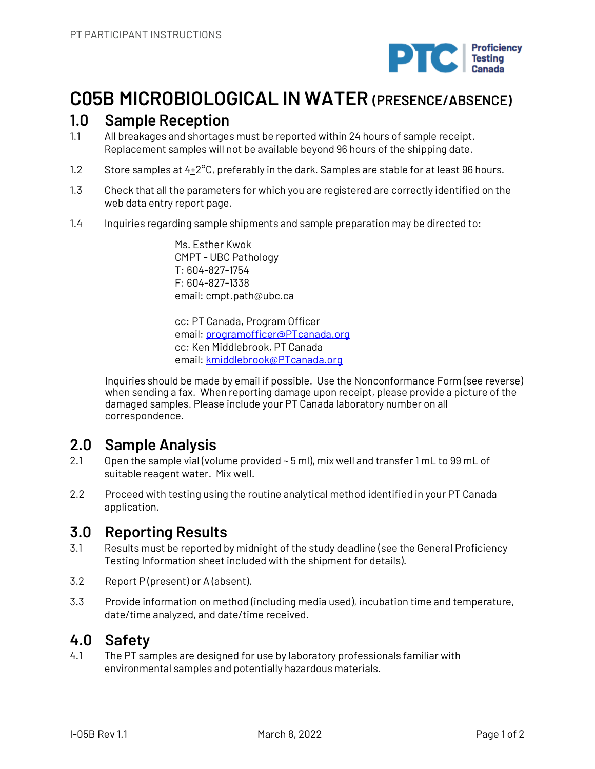

# **C05B MICROBIOLOGICAL IN WATER (PRESENCE/ABSENCE)**

#### **1.0 Sample Reception**

- 1.1 All breakages and shortages must be reported within 24 hours of sample receipt. Replacement samples will not be available beyond 96 hours of the shipping date.
- 1.2 Store samples at  $4+2^{\circ}$ C, preferably in the dark. Samples are stable for at least 96 hours.
- 1.3 Check that all the parameters for which you are registered are correctly identified on the web data entry report page.
- 1.4 Inquiries regarding sample shipments and sample preparation may be directed to:

Ms. Esther Kwok CMPT - UBC Pathology T: 604-827-1754 F: 604-827-1338 email: cmpt.path@ubc.ca

cc: PT Canada, Program Officer email: programofficer@PTcanada.org cc: Ken Middlebrook, PT Canada email: kmiddlebrook@PTcanada.org

Inquiries should be made by email if possible. Use the Nonconformance Form (see reverse) when sending a fax. When reporting damage upon receipt, please provide a picture of the damaged samples. Please include your PT Canada laboratory number on all correspondence.

#### **2.0 Sample Analysis**

- 2.1 Open the sample vial (volume provided ~ 5 ml), mix well and transfer 1 mL to 99 mL of suitable reagent water. Mix well.
- 2.2 Proceed with testing using the routine analytical method identified in your PT Canada application.

## **3.0 Reporting Results**

- 3.1 Results must be reported by midnight of the study deadline (see the General Proficiency Testing Information sheet included with the shipment for details).
- 3.2 Report P (present) or A (absent).
- 3.3 Provide information on method (including media used), incubation time and temperature, date/time analyzed, and date/time received.

## **4.0 Safety**

4.1 The PT samples are designed for use by laboratory professionals familiar with environmental samples and potentially hazardous materials.